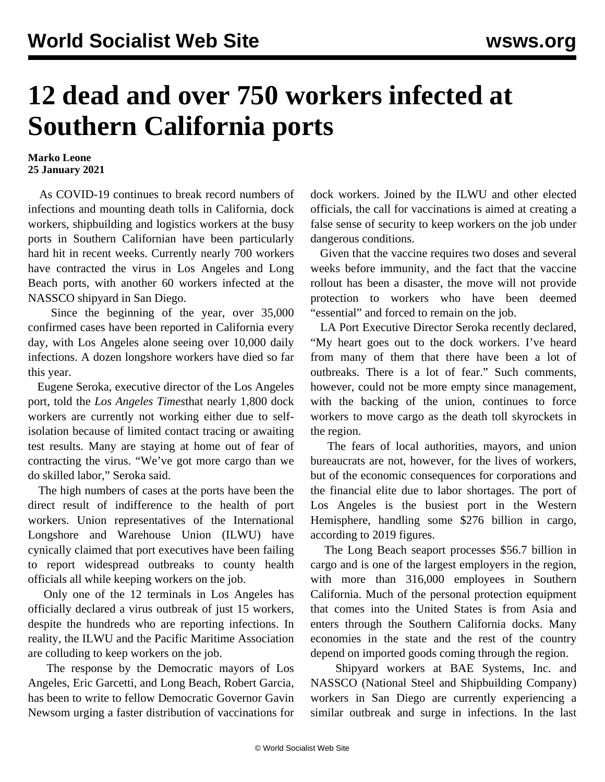## **12 dead and over 750 workers infected at Southern California ports**

## **Marko Leone 25 January 2021**

 As COVID-19 continues to break record numbers of infections and mounting death tolls in California, dock workers, shipbuilding and logistics workers at the busy ports in Southern Californian have been particularly hard hit in recent weeks. Currently nearly 700 workers have contracted the virus in Los Angeles and Long Beach ports, with another 60 workers infected at the NASSCO shipyard in San Diego.

 Since the beginning of the year, over 35,000 confirmed cases have been reported in California every day, with Los Angeles alone seeing over 10,000 daily infections. A dozen longshore workers have died so far this year.

 Eugene Seroka, executive director of the Los Angeles port, told the *Los Angeles Times*that nearly 1,800 dock workers are currently not working either due to selfisolation because of limited contact tracing or awaiting test results. Many are staying at home out of fear of contracting the virus. "We've got more cargo than we do skilled labor," Seroka said.

 The high numbers of cases at the ports have been the direct result of indifference to the health of port workers. Union representatives of the International Longshore and Warehouse Union (ILWU) have cynically claimed that port executives have been failing to report widespread outbreaks to county health officials all while keeping workers on the job.

 Only one of the 12 terminals in Los Angeles has officially declared a virus outbreak of just 15 workers, despite the hundreds who are reporting infections. In reality, the ILWU and the Pacific Maritime Association are colluding to keep workers on the job.

 The response by the Democratic mayors of Los Angeles, Eric Garcetti, and Long Beach, Robert Garcia, has been to write to fellow Democratic Governor Gavin Newsom urging a faster distribution of vaccinations for dock workers. Joined by the ILWU and other elected officials, the call for vaccinations is aimed at creating a false sense of security to keep workers on the job under dangerous conditions.

 Given that the vaccine requires two doses and several weeks before immunity, and the fact that the vaccine rollout has been a disaster, the move will not provide protection to workers who have been deemed "essential" and forced to remain on the job.

 LA Port Executive Director Seroka recently declared, "My heart goes out to the dock workers. I've heard from many of them that there have been a lot of outbreaks. There is a lot of fear." Such comments, however, could not be more empty since management, with the backing of the union, continues to force workers to move cargo as the death toll skyrockets in the region.

 The fears of local authorities, mayors, and union bureaucrats are not, however, for the lives of workers, but of the economic consequences for corporations and the financial elite due to labor shortages. The port of Los Angeles is the busiest port in the Western Hemisphere, handling some \$276 billion in cargo, according to 2019 figures.

 The Long Beach seaport processes \$56.7 billion in cargo and is one of the largest employers in the region, with more than 316,000 employees in Southern California. Much of the personal protection equipment that comes into the United States is from Asia and enters through the Southern California docks. Many economies in the state and the rest of the country depend on imported goods coming through the region.

 Shipyard workers at BAE Systems, Inc. and NASSCO (National Steel and Shipbuilding Company) workers in San Diego are currently experiencing a similar outbreak and surge in infections. In the last